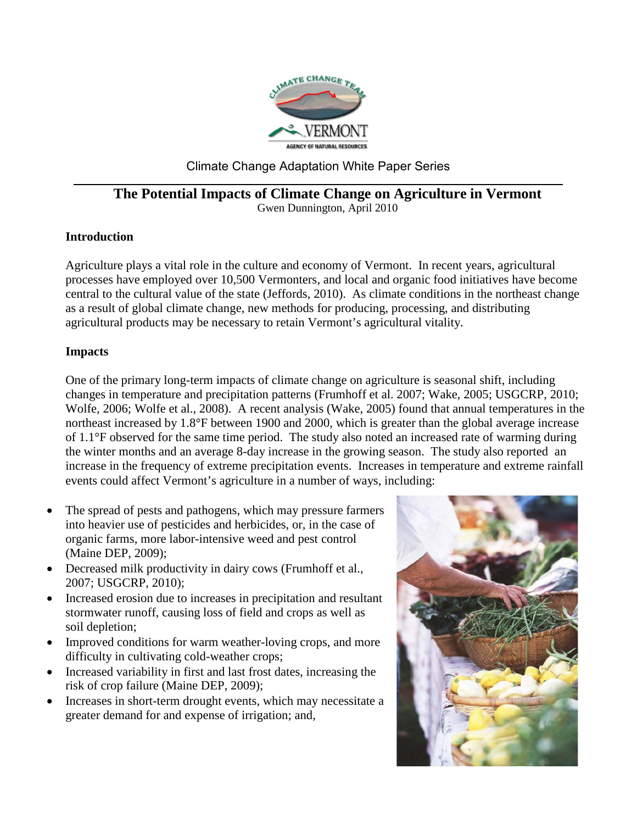

# Climate Change Adaptation White Paper Series

### **The Potential Impacts of Climate Change on Agriculture in Vermont** Gwen Dunnington, April 2010

### **Introduction**

Agriculture plays a vital role in the culture and economy of Vermont. In recent years, agricultural processes have employed over 10,500 Vermonters, and local and organic food initiatives have become central to the cultural value of the state (Jeffords, 2010). As climate conditions in the northeast change as a result of global climate change, new methods for producing, processing, and distributing agricultural products may be necessary to retain Vermont's agricultural vitality.

#### **Impacts**

One of the primary long-term impacts of climate change on agriculture is seasonal shift, including changes in temperature and precipitation patterns (Frumhoff et al. 2007; Wake, 2005; USGCRP, 2010; Wolfe, 2006; Wolfe et al., 2008). A recent analysis (Wake, 2005) found that annual temperatures in the northeast increased by 1.8°F between 1900 and 2000, which is greater than the global average increase of 1.1°F observed for the same time period. The study also noted an increased rate of warming during the winter months and an average 8-day increase in the growing season. The study also reported an increase in the frequency of extreme precipitation events. Increases in temperature and extreme rainfall events could affect Vermont's agriculture in a number of ways, including:

- The spread of pests and pathogens, which may pressure farmers into heavier use of pesticides and herbicides, or, in the case of organic farms, more labor-intensive weed and pest control (Maine DEP, 2009);
- Decreased milk productivity in dairy cows (Frumhoff et al., 2007; USGCRP, 2010);
- Increased erosion due to increases in precipitation and resultant stormwater runoff, causing loss of field and crops as well as soil depletion;
- Improved conditions for warm weather-loving crops, and more difficulty in cultivating cold-weather crops;
- Increased variability in first and last frost dates, increasing the risk of crop failure (Maine DEP, 2009);
- Increases in short-term drought events, which may necessitate a greater demand for and expense of irrigation; and,

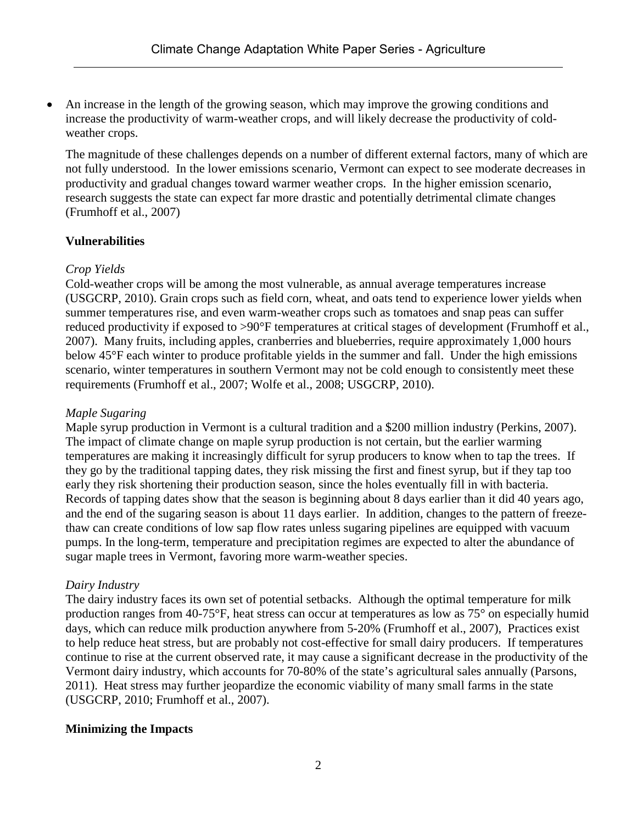• An increase in the length of the growing season, which may improve the growing conditions and increase the productivity of warm-weather crops, and will likely decrease the productivity of coldweather crops.

The magnitude of these challenges depends on a number of different external factors, many of which are not fully understood. In the lower emissions scenario, Vermont can expect to see moderate decreases in productivity and gradual changes toward warmer weather crops. In the higher emission scenario, research suggests the state can expect far more drastic and potentially detrimental climate changes (Frumhoff et al., 2007)

## **Vulnerabilities**

## *Crop Yields*

Cold-weather crops will be among the most vulnerable, as annual average temperatures increase (USGCRP, 2010). Grain crops such as field corn, wheat, and oats tend to experience lower yields when summer temperatures rise, and even warm-weather crops such as tomatoes and snap peas can suffer reduced productivity if exposed to >90°F temperatures at critical stages of development (Frumhoff et al., 2007). Many fruits, including apples, cranberries and blueberries, require approximately 1,000 hours below 45°F each winter to produce profitable yields in the summer and fall. Under the high emissions scenario, winter temperatures in southern Vermont may not be cold enough to consistently meet these requirements (Frumhoff et al., 2007; Wolfe et al., 2008; USGCRP, 2010).

### *Maple Sugaring*

Maple syrup production in Vermont is a cultural tradition and a \$200 million industry (Perkins, 2007). The impact of climate change on maple syrup production is not certain, but the earlier warming temperatures are making it increasingly difficult for syrup producers to know when to tap the trees. If they go by the traditional tapping dates, they risk missing the first and finest syrup, but if they tap too early they risk shortening their production season, since the holes eventually fill in with bacteria. Records of tapping dates show that the season is beginning about 8 days earlier than it did 40 years ago, and the end of the sugaring season is about 11 days earlier. In addition, changes to the pattern of freezethaw can create conditions of low sap flow rates unless sugaring pipelines are equipped with vacuum pumps. In the long-term, temperature and precipitation regimes are expected to alter the abundance of sugar maple trees in Vermont, favoring more warm-weather species.

### *Dairy Industry*

The dairy industry faces its own set of potential setbacks. Although the optimal temperature for milk production ranges from 40-75°F, heat stress can occur at temperatures as low as 75° on especially humid days, which can reduce milk production anywhere from 5-20% (Frumhoff et al., 2007), Practices exist to help reduce heat stress, but are probably not cost-effective for small dairy producers. If temperatures continue to rise at the current observed rate, it may cause a significant decrease in the productivity of the Vermont dairy industry, which accounts for 70-80% of the state's agricultural sales annually (Parsons, 2011). Heat stress may further jeopardize the economic viability of many small farms in the state (USGCRP, 2010; Frumhoff et al., 2007).

### **Minimizing the Impacts**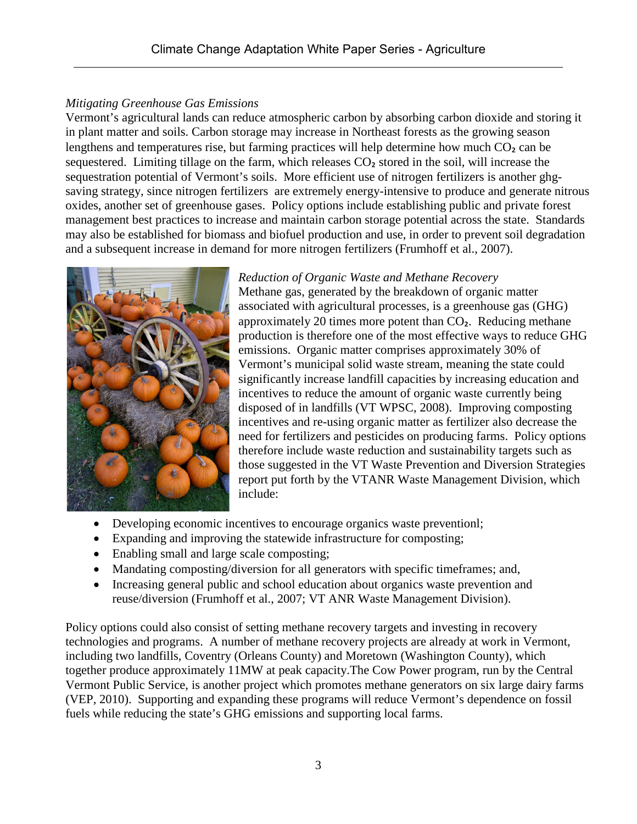# *Mitigating Greenhouse Gas Emissions*

Vermont's agricultural lands can reduce atmospheric carbon by absorbing carbon dioxide and storing it in plant matter and soils. Carbon storage may increase in Northeast forests as the growing season lengthens and temperatures rise, but farming practices will help determine how much  $CO<sub>2</sub>$  can be sequestered. Limiting tillage on the farm, which releases CO<sub>2</sub> stored in the soil, will increase the sequestration potential of Vermont's soils. More efficient use of nitrogen fertilizers is another ghgsaving strategy, since nitrogen fertilizers are extremely energy-intensive to produce and generate nitrous oxides, another set of greenhouse gases. Policy options include establishing public and private forest management best practices to increase and maintain carbon storage potential across the state. Standards may also be established for biomass and biofuel production and use, in order to prevent soil degradation and a subsequent increase in demand for more nitrogen fertilizers (Frumhoff et al., 2007).



*Reduction of Organic Waste and Methane Recovery* Methane gas, generated by the breakdown of organic matter associated with agricultural processes, is a greenhouse gas (GHG) approximately 20 times more potent than CO₂. Reducing methane production is therefore one of the most effective ways to reduce GHG emissions. Organic matter comprises approximately 30% of Vermont's municipal solid waste stream, meaning the state could significantly increase landfill capacities by increasing education and incentives to reduce the amount of organic waste currently being disposed of in landfills (VT WPSC, 2008). Improving composting incentives and re-using organic matter as fertilizer also decrease the need for fertilizers and pesticides on producing farms. Policy options therefore include waste reduction and sustainability targets such as those suggested in the VT Waste Prevention and Diversion Strategies report put forth by the VTANR Waste Management Division, which include:

- Developing economic incentives to encourage organics waste preventionl;
- Expanding and improving the statewide infrastructure for composting;
- Enabling small and large scale composting;
- Mandating composting/diversion for all generators with specific timeframes; and,
- Increasing general public and school education about organics waste prevention and reuse/diversion (Frumhoff et al., 2007; VT ANR Waste Management Division).

Policy options could also consist of setting methane recovery targets and investing in recovery technologies and programs. A number of methane recovery projects are already at work in Vermont, including two landfills, Coventry (Orleans County) and Moretown (Washington County), which together produce approximately 11MW at peak capacity.The Cow Power program, run by the Central Vermont Public Service, is another project which promotes methane generators on six large dairy farms (VEP, 2010). Supporting and expanding these programs will reduce Vermont's dependence on fossil fuels while reducing the state's GHG emissions and supporting local farms.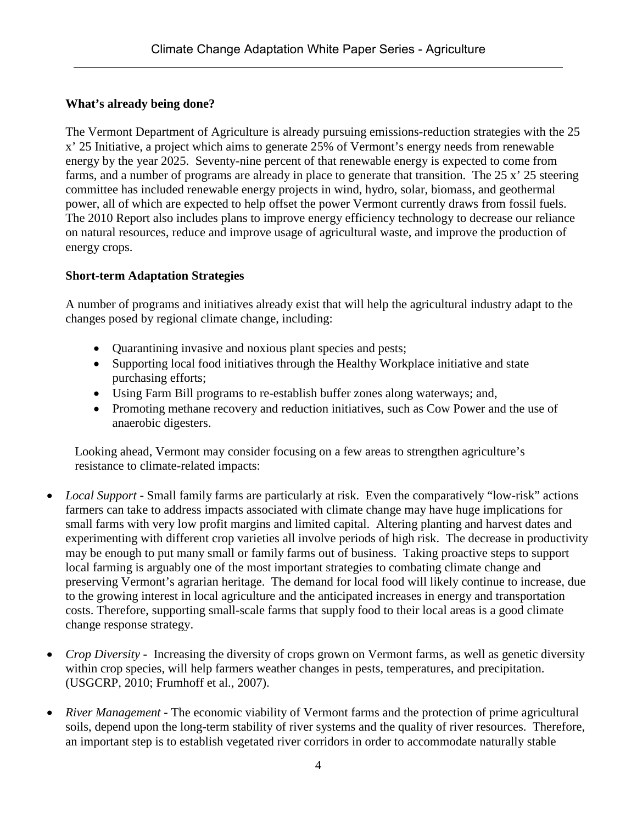# **What's already being done?**

The Vermont Department of Agriculture is already pursuing emissions-reduction strategies with the 25 x' 25 Initiative, a project which aims to generate 25% of Vermont's energy needs from renewable energy by the year 2025. Seventy-nine percent of that renewable energy is expected to come from farms, and a number of programs are already in place to generate that transition. The 25 x' 25 steering committee has included renewable energy projects in wind, hydro, solar, biomass, and geothermal power, all of which are expected to help offset the power Vermont currently draws from fossil fuels. The 2010 Report also includes plans to improve energy efficiency technology to decrease our reliance on natural resources, reduce and improve usage of agricultural waste, and improve the production of energy crops.

## **Short-term Adaptation Strategies**

A number of programs and initiatives already exist that will help the agricultural industry adapt to the changes posed by regional climate change, including:

- Quarantining invasive and noxious plant species and pests;
- Supporting local food initiatives through the Healthy Workplace initiative and state purchasing efforts;
- Using Farm Bill programs to re-establish buffer zones along waterways; and,
- Promoting methane recovery and reduction initiatives, such as Cow Power and the use of anaerobic digesters.

Looking ahead, Vermont may consider focusing on a few areas to strengthen agriculture's resistance to climate-related impacts:

- *Local Support* **-** Small family farms are particularly at risk. Even the comparatively "low-risk" actions farmers can take to address impacts associated with climate change may have huge implications for small farms with very low profit margins and limited capital. Altering planting and harvest dates and experimenting with different crop varieties all involve periods of high risk. The decrease in productivity may be enough to put many small or family farms out of business. Taking proactive steps to support local farming is arguably one of the most important strategies to combating climate change and preserving Vermont's agrarian heritage. The demand for local food will likely continue to increase, due to the growing interest in local agriculture and the anticipated increases in energy and transportation costs. Therefore, supporting small-scale farms that supply food to their local areas is a good climate change response strategy.
- *Crop Diversity* Increasing the diversity of crops grown on Vermont farms, as well as genetic diversity within crop species, will help farmers weather changes in pests, temperatures, and precipitation. (USGCRP, 2010; Frumhoff et al., 2007).
- *River Management* The economic viability of Vermont farms and the protection of prime agricultural soils, depend upon the long-term stability of river systems and the quality of river resources. Therefore, an important step is to establish vegetated river corridors in order to accommodate naturally stable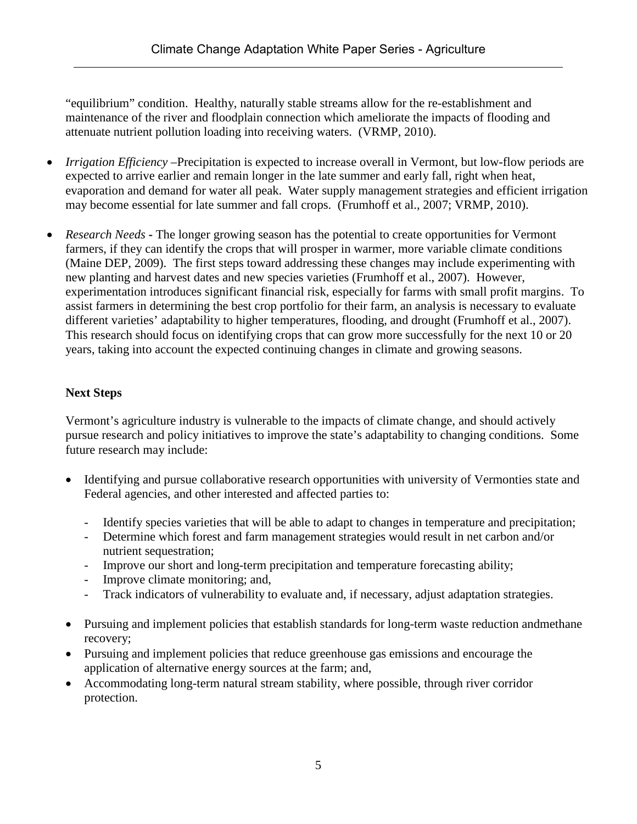"equilibrium" condition. Healthy, naturally stable streams allow for the re-establishment and maintenance of the river and floodplain connection which ameliorate the impacts of flooding and attenuate nutrient pollution loading into receiving waters. (VRMP, 2010).

- *Irrigation Efficiency* Precipitation is expected to increase overall in Vermont, but low-flow periods are expected to arrive earlier and remain longer in the late summer and early fall, right when heat, evaporation and demand for water all peak. Water supply management strategies and efficient irrigation may become essential for late summer and fall crops. (Frumhoff et al., 2007; VRMP, 2010).
- *Research Needs* The longer growing season has the potential to create opportunities for Vermont farmers, if they can identify the crops that will prosper in warmer, more variable climate conditions (Maine DEP, 2009). The first steps toward addressing these changes may include experimenting with new planting and harvest dates and new species varieties (Frumhoff et al., 2007). However, experimentation introduces significant financial risk, especially for farms with small profit margins. To assist farmers in determining the best crop portfolio for their farm, an analysis is necessary to evaluate different varieties' adaptability to higher temperatures, flooding, and drought (Frumhoff et al., 2007). This research should focus on identifying crops that can grow more successfully for the next 10 or 20 years, taking into account the expected continuing changes in climate and growing seasons.

# **Next Steps**

Vermont's agriculture industry is vulnerable to the impacts of climate change, and should actively pursue research and policy initiatives to improve the state's adaptability to changing conditions. Some future research may include:

- Identifying and pursue collaborative research opportunities with university of Vermonties state and Federal agencies, and other interested and affected parties to:
	- Identify species varieties that will be able to adapt to changes in temperature and precipitation;
	- Determine which forest and farm management strategies would result in net carbon and/or nutrient sequestration;
	- Improve our short and long-term precipitation and temperature forecasting ability;
	- Improve climate monitoring; and,
	- Track indicators of vulnerability to evaluate and, if necessary, adjust adaptation strategies.
- Pursuing and implement policies that establish standards for long-term waste reduction andmethane recovery;
- Pursuing and implement policies that reduce greenhouse gas emissions and encourage the application of alternative energy sources at the farm; and,
- Accommodating long-term natural stream stability, where possible, through river corridor protection.